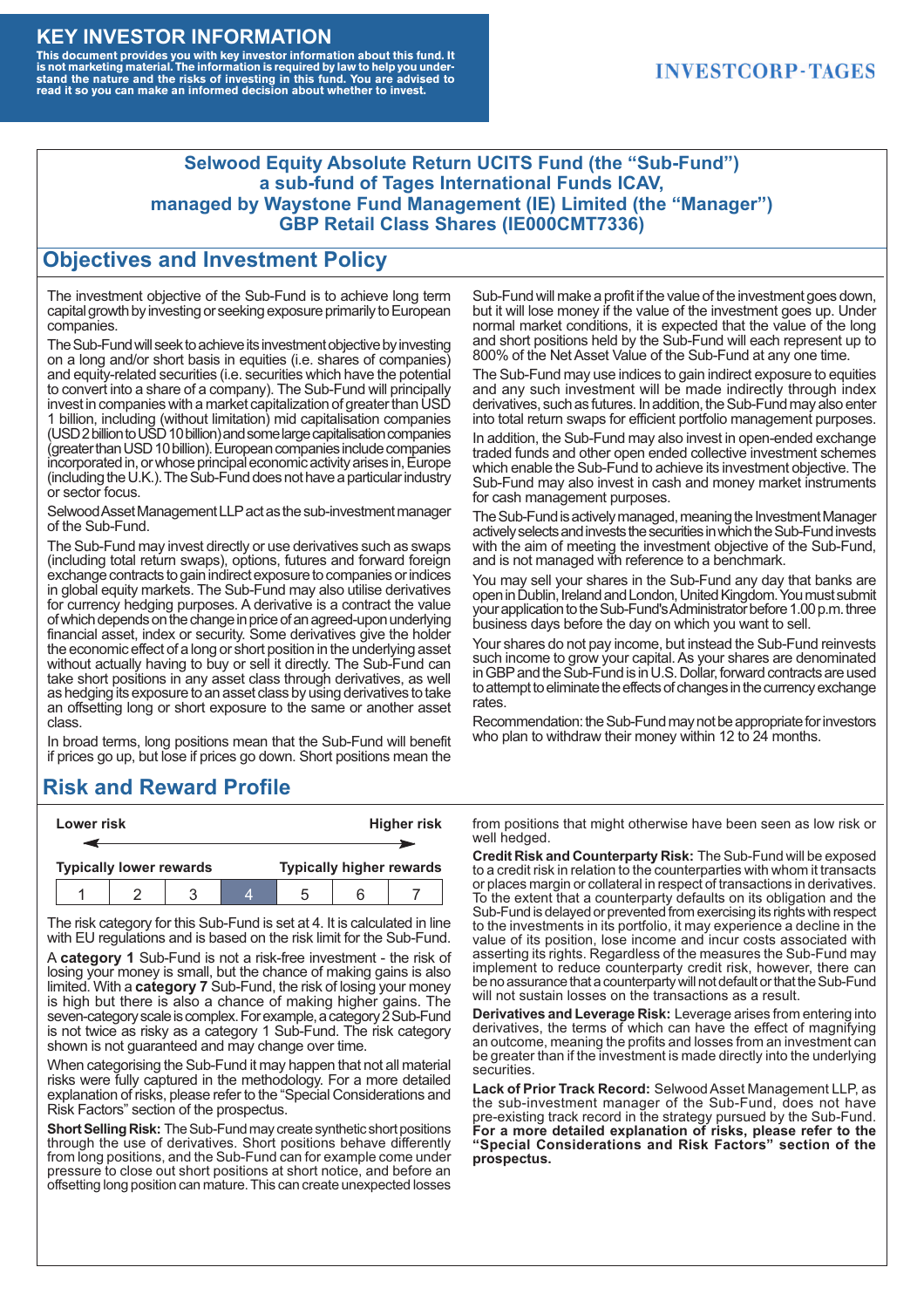#### **KEY INVESTOR INFORMATION**

This document provides you with key investor information about this fund. It<br>is not marketing material. The information is required by law to help you under-<br>stand the nature and the risks of investing in this fund. You ar

### **INVESTCORP-TAGES**

#### **Selwood Equity Absolute Return UCITS Fund (the "Sub-Fund") a sub-fund of Tages International Funds ICAV, managed by Waystone Fund Management (IE) Limited (the "Manager") GBP Retail Class Shares (IE000CMT7336)**

#### **Objectives and Investment Policy**

The investment objective of the Sub-Fund is to achieve long term capital growth by investing or seeking exposure primarily to European companies.

The Sub-Fund will seek to achieve its investment objective by investing on a long and/or short basis in equities (i.e. shares of companies) and equity-related securities (i.e. securities which have the potential to convert into a share of a company). The Sub-Fund will principally invest in companies with a market capitalization of greater than USD 1 billion, including (without limitation) mid capitalisation companies (USD 2 billion to USD 10 billion) and some large capitalisation companies (greaterthanUSD10billion).European companiesinclude companies incorporated in, or whose principal economic activity arises in, Europe (including the U.K.). The Sub-Fund does not have a particular industry or sector focus.

Selwood Asset Management LLP act as the sub-investment manager of the Sub-Fund.

The Sub-Fund may invest directly or use derivatives such as swaps (including total return swaps), options, futures and forward foreign exchange contracts to gain indirect exposure to companies or indices in global equity markets. The Sub-Fund may also utilise derivatives for currency hedging purposes. A derivative is a contract the value of which depends on the change in price of an agreed-upon underlying financial asset, index or security. Some derivatives give the holder the economic effect of a long or short position in the underlying asset without actually having to buy or sell it directly. The Sub-Fund can take short positions in any asset class through derivatives, as well as hedging its exposure to an asset class by using derivatives to take an offsetting long or short exposure to the same or another asset class.

In broad terms, long positions mean that the Sub-Fund will benefit if prices go up, but lose if prices go down. Short positions mean the

## **Risk and Reward Profile**

|                                | Lower risk |  |  | <b>Higher risk</b>              |  |  |
|--------------------------------|------------|--|--|---------------------------------|--|--|
|                                |            |  |  |                                 |  |  |
| <b>Typically lower rewards</b> |            |  |  | <b>Typically higher rewards</b> |  |  |
|                                |            |  |  | :5                              |  |  |

The risk category for this Sub-Fund is set at 4. It is calculated in line with EU regulations and is based on the risk limit for the Sub-Fund.

A **category 1** Sub-Fund is not a risk-free investment - the risk of losing your money is small, but the chance of making gains is also limited. With a **category 7** Sub-Fund, the risk of losing your money is high but there is also a chance of making higher gains. The seven-category scale is complex. For example, a category 2 Sub-Fund is not twice as risky as a category 1 Sub-Fund. The risk category shown is not guaranteed and may change over time.

When categorising the Sub-Fund it may happen that not all material risks were fully captured in the methodology. For a more detailed explanation of risks, please refer to the "Special Considerations and Risk Factors" section of the prospectus.

**Short Selling Risk:** The Sub-Fund may create synthetic short positions through the use of derivatives. Short positions behave differently from long positions, and the Sub-Fund can for example come under pressure to close out short positions at short notice, and before an offsetting long position can mature. This can create unexpected losses

Sub-Fund will make a profit if the value of the investment goes down, but it will lose money if the value of the investment goes up. Under normal market conditions, it is expected that the value of the long and short positions held by the Sub-Fund will each represent up to 800% of the Net Asset Value of the Sub-Fund at any one time.

The Sub-Fund may use indices to gain indirect exposure to equities and any such investment will be made indirectly through index derivatives, such as futures. In addition, the Sub-Fund may also enter into total return swaps for efficient portfolio management purposes.

In addition, the Sub-Fund may also invest in open-ended exchange traded funds and other open ended collective investment schemes which enable the Sub-Fund to achieve its investment objective. The Sub-Fund may also invest in cash and money market instruments for cash management purposes.

The Sub-Fund is actively managed, meaning the Investment Manager actively selects and invests the securities in which the Sub-Fund invests with the aim of meeting the investment objective of the Sub-Fund, and is not managed with reference to a benchmark.

You may sell your shares in the Sub-Fund any day that banks are open in Dublin, Ireland and London, United Kingdom. You must submit your application to the Sub-Fund's Administrator before 1.00 p.m. three business days before the day on which you want to sell.

Your shares do not pay income, but instead the Sub-Fund reinvests such income to grow your capital. As your shares are denominated in GBP and the Sub-Fund is in U.S. Dollar, forward contracts are used to attempt to eliminate the effects of changes in the currency exchange rates.

Recommendation: the Sub-Fund may not be appropriate for investors who plan to withdraw their money within 12 to 24 months.

from positions that might otherwise have been seen as low risk or well hedged.

**Credit Risk and Counterparty Risk:** The Sub-Fund will be exposed to a credit risk in relation to the counterparties with whom it transacts or places margin or collateral in respect of transactions in derivatives. To the extent that a counterparty defaults on its obligation and the Sub-Fund is delayed or prevented from exercising its rights with respect to the investments in its portfolio, it may experience a decline in the value of its position, lose income and incur costs associated with asserting its rights. Regardless of the measures the Sub-Fund may implement to reduce counterparty credit risk, however, there can be no assurance that a counterparty will not default or that the Sub-Fund will not sustain losses on the transactions as a result.

**Derivatives and Leverage Risk:** Leverage arises from entering into derivatives, the terms of which can have the effect of magnifying an outcome, meaning the profits and losses from an investment can be greater than if the investment is made directly into the underlying **securities**.

**Lack of Prior Track Record:** Selwood Asset Management LLP, as the sub-investment manager of the Sub-Fund, does not have pre-existing track record in the strategy pursued by the Sub-Fund. **For a more detailed explanation of risks, please refer to the "Special Considerations and Risk Factors" section of the prospectus.**